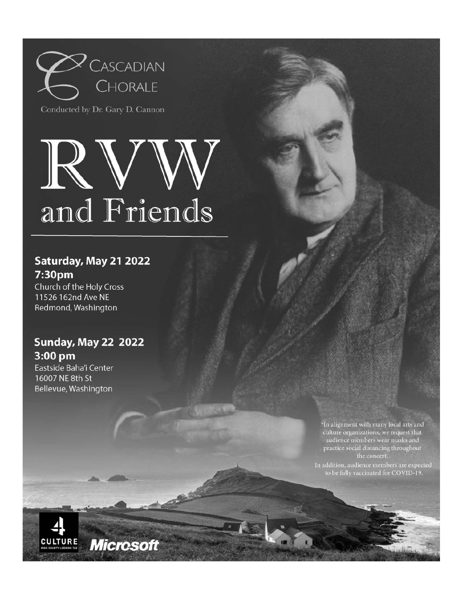

Conducted by Dr. Gary D. Cannon

# $\mathbb{R}% _{n=0}^{2d}$ and Friends

# Saturday, May 21 2022 7:30pm

Church of the Holy Cross 11526 162nd Ave NE Redmond, Washington

# **Sunday, May 22 2022** 3:00 pm

**Microsoft** 

Eastside Baha'i Center 16007 NE 8th St Bellevue, Washington

**CULTURE** 

\*In alignment with many local arts and culture organizations, we request that<br>audience members wear masks and<br>practice social distancing throughout<br>the concert.

In addition, audience members are expected<br>to be fully vaccinated for COVID-19.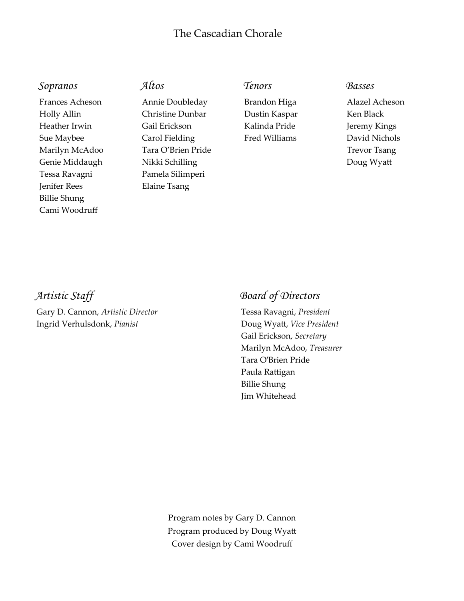#### The Cascadian Chorale

#### *Sopranos*

Frances Acheson Holly Allin Heather Irwin Sue Maybee Marilyn McAdoo Genie Middaugh Tessa Ravagni Jenifer Rees Billie Shung Cami Woodruff

### *Altos*

Annie Doubleday Christine Dunbar Gail Erickson Carol Fielding Tara O'Brien Pride Nikki Schilling Pamela Silimperi Elaine Tsang

*Tenors* Brandon Higa Dustin Kaspar Kalinda Pride Fred Williams

#### *Basses*

Alazel Acheson Ken Black Jeremy Kings David Nichols Trevor Tsang Doug Wyatt

#### *Artistic Staff*

Gary D. Cannon, *Artistic Director* Ingrid Verhulsdonk, *Pianist*

#### *Board of Directors*

Tessa Ravagni, *President* Doug Wyatt, *Vice President* Gail Erickson, *Secretary* Marilyn McAdoo, *Treasurer* Tara O'Brien Pride Paula Rattigan Billie Shung Jim Whitehead

Program notes by Gary D. Cannon Program produced by Doug Wyatt Cover design by Cami Woodruff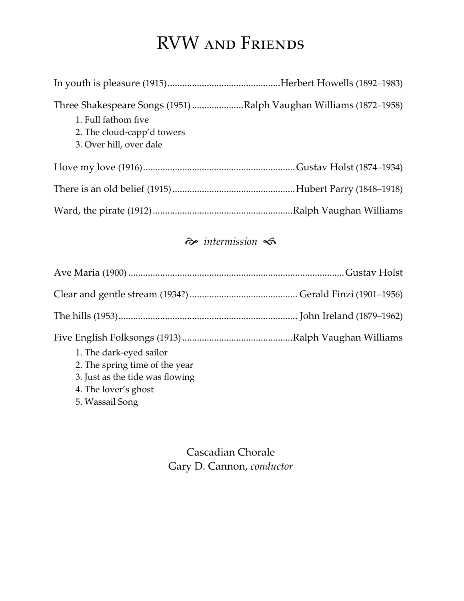# RVW and Friends

| Three Shakespeare Songs (1951)Ralph Vaughan Williams (1872–1958) |  |
|------------------------------------------------------------------|--|
| 1. Full fathom five                                              |  |
| 2. The cloud-capp'd towers                                       |  |
| 3. Over hill, over dale                                          |  |
|                                                                  |  |
|                                                                  |  |
|                                                                  |  |

# $\hat{\infty}$  intermission  $\hat{\infty}$

| 1. The dark-eyed sailor<br>2. The spring time of the year<br>3. Just as the tide was flowing<br>4. The lover's ghost<br>5. Wassail Song |  |
|-----------------------------------------------------------------------------------------------------------------------------------------|--|

Cascadian Chorale Gary D. Cannon, *conductor*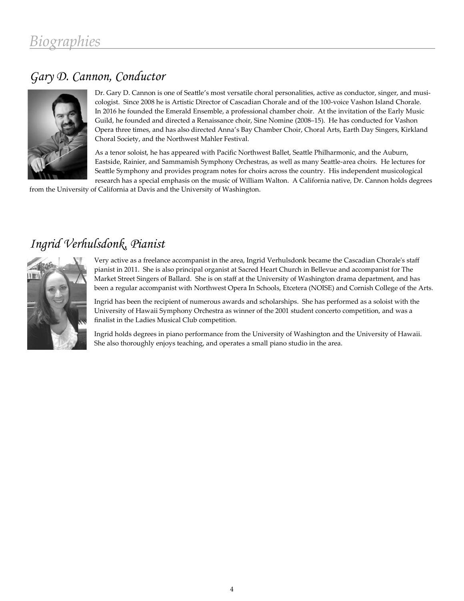# *Gary D. Cannon, Conductor*



Dr. Gary D. Cannon is one of Seattle's most versatile choral personalities, active as conductor, singer, and musicologist. Since 2008 he is Artistic Director of Cascadian Chorale and of the 100-voice Vashon Island Chorale. In 2016 he founded the Emerald Ensemble, a professional chamber choir. At the invitation of the Early Music Guild, he founded and directed a Renaissance choir, Sine Nomine (2008–15). He has conducted for Vashon Opera three times, and has also directed Anna's Bay Chamber Choir, Choral Arts, Earth Day Singers, Kirkland Choral Society, and the Northwest Mahler Festival.

As a tenor soloist, he has appeared with Pacific Northwest Ballet, Seattle Philharmonic, and the Auburn, Eastside, Rainier, and Sammamish Symphony Orchestras, as well as many Seattle-area choirs. He lectures for Seattle Symphony and provides program notes for choirs across the country. His independent musicological research has a special emphasis on the music of William Walton. A California native, Dr. Cannon holds degrees

from the University of California at Davis and the University of Washington.

# *Ingrid Verhulsdonk, Pianist*



Very active as a freelance accompanist in the area, Ingrid Verhulsdonk became the Cascadian Chorale's staff pianist in 2011. She is also principal organist at Sacred Heart Church in Bellevue and accompanist for The Market Street Singers of Ballard. She is on staff at the University of Washington drama department, and has been a regular accompanist with Northwest Opera In Schools, Etcetera (NOISE) and Cornish College of the Arts.

Ingrid has been the recipient of numerous awards and scholarships. She has performed as a soloist with the University of Hawaii Symphony Orchestra as winner of the 2001 student concerto competition, and was a finalist in the Ladies Musical Club competition.

Ingrid holds degrees in piano performance from the University of Washington and the University of Hawaii. She also thoroughly enjoys teaching, and operates a small piano studio in the area.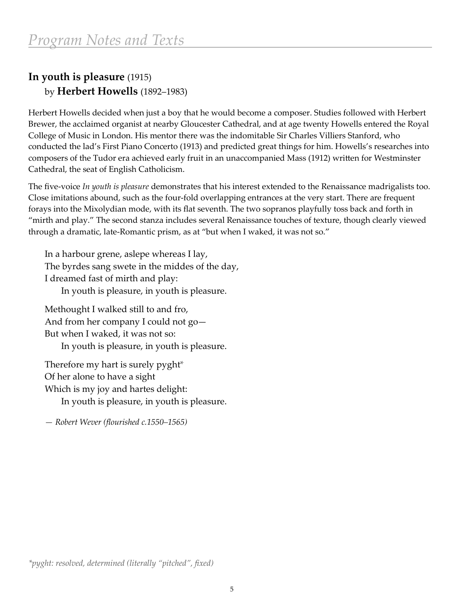# **In youth is pleasure** (1915) by **Herbert Howells** (1892–1983)

Herbert Howells decided when just a boy that he would become a composer. Studies followed with Herbert Brewer, the acclaimed organist at nearby Gloucester Cathedral, and at age twenty Howells entered the Royal College of Music in London. His mentor there was the indomitable Sir Charles Villiers Stanford, who conducted the lad's First Piano Concerto (1913) and predicted great things for him. Howells's researches into composers of the Tudor era achieved early fruit in an unaccompanied Mass (1912) written for Westminster Cathedral, the seat of English Catholicism.

The five-voice *In youth is pleasure* demonstrates that his interest extended to the Renaissance madrigalists too. Close imitations abound, such as the four-fold overlapping entrances at the very start. There are frequent forays into the Mixolydian mode, with its flat seventh. The two sopranos playfully toss back and forth in "mirth and play." The second stanza includes several Renaissance touches of texture, though clearly viewed through a dramatic, late-Romantic prism, as at "but when I waked, it was not so."

In a harbour grene, aslepe whereas I lay, The byrdes sang swete in the middes of the day, I dreamed fast of mirth and play: In youth is pleasure, in youth is pleasure.

Methought I walked still to and fro, And from her company I could not go— But when I waked, it was not so: In youth is pleasure, in youth is pleasure.

Therefore my hart is surely pyght\* Of her alone to have a sight

Which is my joy and hartes delight:

In youth is pleasure, in youth is pleasure.

*— Robert Wever (flourished c.1550–1565)*

*\*pyght: resolved, determined (literally "pitched", fixed)*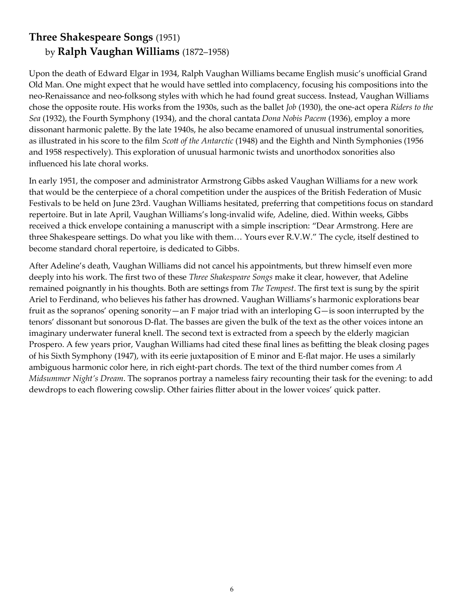# **Three Shakespeare Songs** (1951) by **Ralph Vaughan Williams** (1872–1958)

Upon the death of Edward Elgar in 1934, Ralph Vaughan Williams became English music's unofficial Grand Old Man. One might expect that he would have settled into complacency, focusing his compositions into the neo-Renaissance and neo-folksong styles with which he had found great success. Instead, Vaughan Williams chose the opposite route. His works from the 1930s, such as the ballet *Job* (1930), the one-act opera *Riders to the Sea* (1932), the Fourth Symphony (1934), and the choral cantata *Dona Nobis Pacem* (1936), employ a more dissonant harmonic palette. By the late 1940s, he also became enamored of unusual instrumental sonorities, as illustrated in his score to the film *Scott of the Antarctic* (1948) and the Eighth and Ninth Symphonies (1956 and 1958 respectively). This exploration of unusual harmonic twists and unorthodox sonorities also influenced his late choral works.

In early 1951, the composer and administrator Armstrong Gibbs asked Vaughan Williams for a new work that would be the centerpiece of a choral competition under the auspices of the British Federation of Music Festivals to be held on June 23rd. Vaughan Williams hesitated, preferring that competitions focus on standard repertoire. But in late April, Vaughan Williams's long-invalid wife, Adeline, died. Within weeks, Gibbs received a thick envelope containing a manuscript with a simple inscription: "Dear Armstrong. Here are three Shakespeare settings. Do what you like with them… Yours ever R.V.W." The cycle, itself destined to become standard choral repertoire, is dedicated to Gibbs.

After Adeline's death, Vaughan Williams did not cancel his appointments, but threw himself even more deeply into his work. The first two of these *Three Shakespeare Songs* make it clear, however, that Adeline remained poignantly in his thoughts. Both are settings from *The Tempest*. The first text is sung by the spirit Ariel to Ferdinand, who believes his father has drowned. Vaughan Williams's harmonic explorations bear fruit as the sopranos' opening sonority—an F major triad with an interloping G—is soon interrupted by the tenors' dissonant but sonorous D-flat. The basses are given the bulk of the text as the other voices intone an imaginary underwater funeral knell. The second text is extracted from a speech by the elderly magician Prospero. A few years prior, Vaughan Williams had cited these final lines as befitting the bleak closing pages of his Sixth Symphony (1947), with its eerie juxtaposition of E minor and E-flat major. He uses a similarly ambiguous harmonic color here, in rich eight-part chords. The text of the third number comes from *A Midsummer Night's Dream*. The sopranos portray a nameless fairy recounting their task for the evening: to add dewdrops to each flowering cowslip. Other fairies flitter about in the lower voices' quick patter.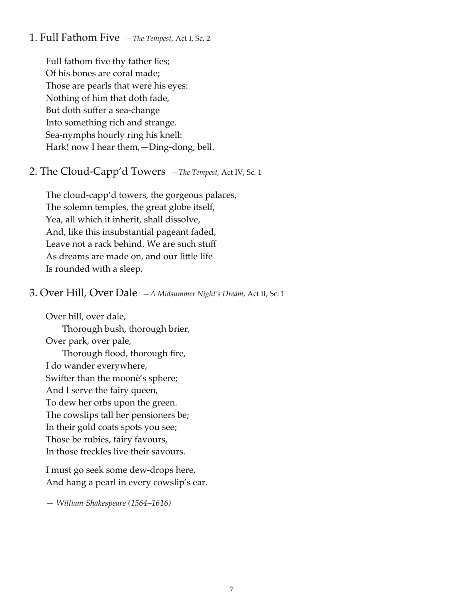#### 1. Full Fathom Five —*The Tempest,* Act I, Sc. 2

Full fathom five thy father lies; Of his bones are coral made; Those are pearls that were his eyes: Nothing of him that doth fade, But doth suffer a sea-change Into something rich and strange. Sea-nymphs hourly ring his knell: Hark! now I hear them,—Ding-dong, bell.

#### 2. The Cloud-Capp'd Towers —*The Tempest,* Act IV, Sc. 1

The cloud-capp'd towers, the gorgeous palaces, The solemn temples, the great globe itself, Yea, all which it inherit, shall dissolve, And, like this insubstantial pageant faded, Leave not a rack behind. We are such stuff As dreams are made on, and our little life Is rounded with a sleep.

#### 3. Over Hill, Over Dale —*A Midsummer Night's Dream,* Act II, Sc. 1

Over hill, over dale, Thorough bush, thorough brier, Over park, over pale, Thorough flood, thorough fire, I do wander everywhere, Swifter than the moonè's sphere; And I serve the fairy queen, To dew her orbs upon the green. The cowslips tall her pensioners be; In their gold coats spots you see; Those be rubies, fairy favours, In those freckles live their savours.

I must go seek some dew-drops here, And hang a pearl in every cowslip's ear.

*— William Shakespeare (1564–1616)*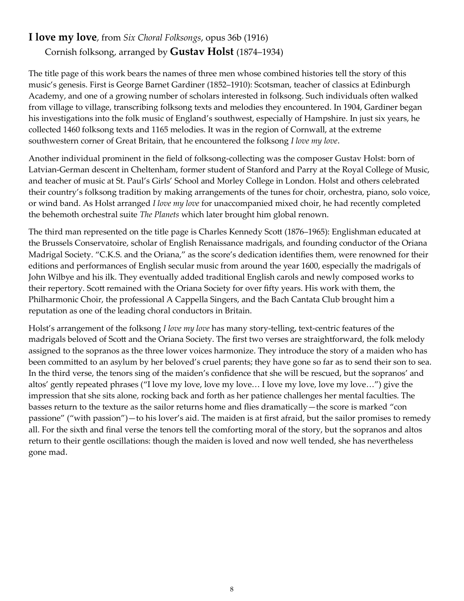### **I love my love**, from *Six Choral Folksongs*, opus 36b (1916)

Cornish folksong, arranged by **Gustav Holst** (1874–1934)

The title page of this work bears the names of three men whose combined histories tell the story of this music's genesis. First is George Barnet Gardiner (1852–1910): Scotsman, teacher of classics at Edinburgh Academy, and one of a growing number of scholars interested in folksong. Such individuals often walked from village to village, transcribing folksong texts and melodies they encountered. In 1904, Gardiner began his investigations into the folk music of England's southwest, especially of Hampshire. In just six years, he collected 1460 folksong texts and 1165 melodies. It was in the region of Cornwall, at the extreme southwestern corner of Great Britain, that he encountered the folksong *I love my love*.

Another individual prominent in the field of folksong-collecting was the composer Gustav Holst: born of Latvian-German descent in Cheltenham, former student of Stanford and Parry at the Royal College of Music, and teacher of music at St. Paul's Girls' School and Morley College in London. Holst and others celebrated their country's folksong tradition by making arrangements of the tunes for choir, orchestra, piano, solo voice, or wind band. As Holst arranged *I love my love* for unaccompanied mixed choir, he had recently completed the behemoth orchestral suite *The Planets* which later brought him global renown.

The third man represented on the title page is Charles Kennedy Scott (1876–1965): Englishman educated at the Brussels Conservatoire, scholar of English Renaissance madrigals, and founding conductor of the Oriana Madrigal Society. "C.K.S. and the Oriana," as the score's dedication identifies them, were renowned for their editions and performances of English secular music from around the year 1600, especially the madrigals of John Wilbye and his ilk. They eventually added traditional English carols and newly composed works to their repertory. Scott remained with the Oriana Society for over fifty years. His work with them, the Philharmonic Choir, the professional A Cappella Singers, and the Bach Cantata Club brought him a reputation as one of the leading choral conductors in Britain.

Holst's arrangement of the folksong *I love my love* has many story-telling, text-centric features of the madrigals beloved of Scott and the Oriana Society. The first two verses are straightforward, the folk melody assigned to the sopranos as the three lower voices harmonize. They introduce the story of a maiden who has been committed to an asylum by her beloved's cruel parents; they have gone so far as to send their son to sea. In the third verse, the tenors sing of the maiden's confidence that she will be rescued, but the sopranos' and altos' gently repeated phrases ("I love my love, love my love… I love my love, love my love…") give the impression that she sits alone, rocking back and forth as her patience challenges her mental faculties. The basses return to the texture as the sailor returns home and flies dramatically—the score is marked "con passione" ("with passion")—to his lover's aid. The maiden is at first afraid, but the sailor promises to remedy all. For the sixth and final verse the tenors tell the comforting moral of the story, but the sopranos and altos return to their gentle oscillations: though the maiden is loved and now well tended, she has nevertheless gone mad.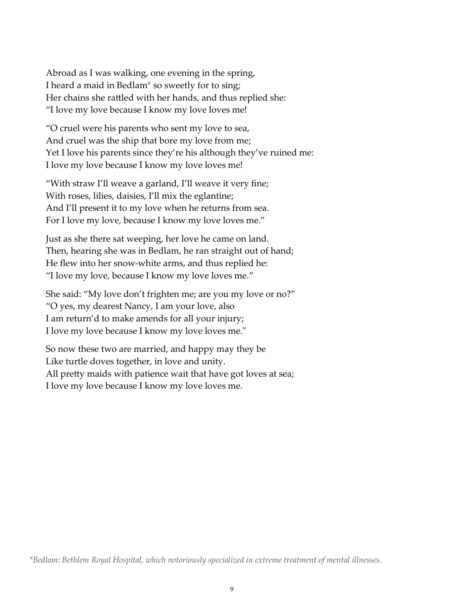Abroad as I was walking, one evening in the spring, I heard a maid in Bedlam\* so sweetly for to sing; Her chains she rattled with her hands, and thus replied she: "I love my love because I know my love loves me!

"O cruel were his parents who sent my love to sea, And cruel was the ship that bore my love from me; Yet I love his parents since they're his although they've ruined me: I love my love because I know my love loves me!

"With straw I'll weave a garland, I'll weave it very fine; With roses, lilies, daisies, I'll mix the eglantine; And I'll present it to my love when he returns from sea. For I love my love, because I know my love loves me."

Just as she there sat weeping, her love he came on land. Then, hearing she was in Bedlam, he ran straight out of hand; He flew into her snow-white arms, and thus replied he: "I love my love, because I know my love loves me."

She said: "My love don't frighten me; are you my love or no?" "O yes, my dearest Nancy, I am your love, also I am return'd to make amends for all your injury; I love my love because I know my love loves me."

So now these two are married, and happy may they be Like turtle doves together, in love and unity. All pretty maids with patience wait that have got loves at sea; I love my love because I know my love loves me.

*\*Bedlam: Bethlem Royal Hospital, which notoriously specialized in extreme treatment of mental illnesses.*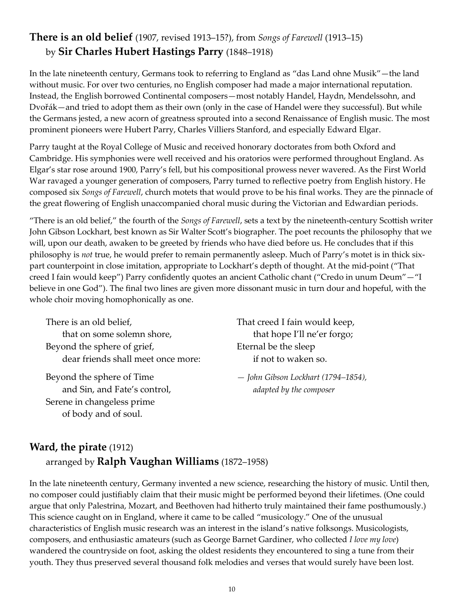# **There is an old belief** (1907, revised 1913–15?), from *Songs of Farewell* (1913–15) by **Sir Charles Hubert Hastings Parry** (1848–1918)

In the late nineteenth century, Germans took to referring to England as "das Land ohne Musik"—the land without music. For over two centuries, no English composer had made a major international reputation. Instead, the English borrowed Continental composers—most notably Handel, Haydn, Mendelssohn, and Dvořák—and tried to adopt them as their own (only in the case of Handel were they successful). But while the Germans jested, a new acorn of greatness sprouted into a second Renaissance of English music. The most prominent pioneers were Hubert Parry, Charles Villiers Stanford, and especially Edward Elgar.

Parry taught at the Royal College of Music and received honorary doctorates from both Oxford and Cambridge. His symphonies were well received and his oratorios were performed throughout England. As Elgar's star rose around 1900, Parry's fell, but his compositional prowess never wavered. As the First World War ravaged a younger generation of composers, Parry turned to reflective poetry from English history. He composed six *Songs of Farewell*, church motets that would prove to be his final works. They are the pinnacle of the great flowering of English unaccompanied choral music during the Victorian and Edwardian periods.

"There is an old belief," the fourth of the *Songs of Farewell*, sets a text by the nineteenth-century Scottish writer John Gibson Lockhart, best known as Sir Walter Scott's biographer. The poet recounts the philosophy that we will, upon our death, awaken to be greeted by friends who have died before us. He concludes that if this philosophy is *not* true, he would prefer to remain permanently asleep. Much of Parry's motet is in thick sixpart counterpoint in close imitation, appropriate to Lockhart's depth of thought. At the mid-point ("That creed I fain would keep") Parry confidently quotes an ancient Catholic chant ("Credo in unum Deum"—"I believe in one God"). The final two lines are given more dissonant music in turn dour and hopeful, with the whole choir moving homophonically as one.

There is an old belief, That creed I fain would keep, that on some solemn shore, that hope I'll ne'er forgo; Beyond the sphere of grief, Eternal be the sleep dear friends shall meet once more: if not to waken so.

and Sin, and Fate's control, *adapted by the composer* Serene in changeless prime of body and of soul.

Beyond the sphere of Time *— John Gibson Lockhart (1794–1854),* 

# **Ward, the pirate** (1912) arranged by **Ralph Vaughan Williams** (1872–1958)

In the late nineteenth century, Germany invented a new science, researching the history of music. Until then, no composer could justifiably claim that their music might be performed beyond their lifetimes. (One could argue that only Palestrina, Mozart, and Beethoven had hitherto truly maintained their fame posthumously.) This science caught on in England, where it came to be called "musicology." One of the unusual characteristics of English music research was an interest in the island's native folksongs. Musicologists, composers, and enthusiastic amateurs (such as George Barnet Gardiner, who collected *I love my love*) wandered the countryside on foot, asking the oldest residents they encountered to sing a tune from their youth. They thus preserved several thousand folk melodies and verses that would surely have been lost.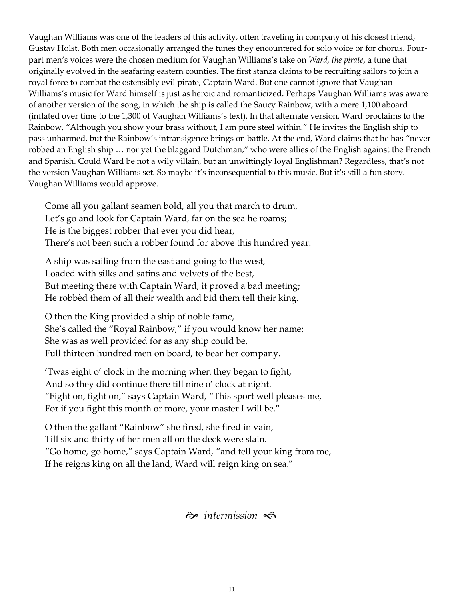Vaughan Williams was one of the leaders of this activity, often traveling in company of his closest friend, Gustav Holst. Both men occasionally arranged the tunes they encountered for solo voice or for chorus. Fourpart men's voices were the chosen medium for Vaughan Williams's take on *Ward, the pirate*, a tune that originally evolved in the seafaring eastern counties. The first stanza claims to be recruiting sailors to join a royal force to combat the ostensibly evil pirate, Captain Ward. But one cannot ignore that Vaughan Williams's music for Ward himself is just as heroic and romanticized. Perhaps Vaughan Williams was aware of another version of the song, in which the ship is called the Saucy Rainbow, with a mere 1,100 aboard (inflated over time to the 1,300 of Vaughan Williams's text). In that alternate version, Ward proclaims to the Rainbow, "Although you show your brass without, I am pure steel within." He invites the English ship to pass unharmed, but the Rainbow's intransigence brings on battle. At the end, Ward claims that he has "never robbed an English ship … nor yet the blaggard Dutchman," who were allies of the English against the French and Spanish. Could Ward be not a wily villain, but an unwittingly loyal Englishman? Regardless, that's not the version Vaughan Williams set. So maybe it's inconsequential to this music. But it's still a fun story. Vaughan Williams would approve.

Come all you gallant seamen bold, all you that march to drum, Let's go and look for Captain Ward, far on the sea he roams; He is the biggest robber that ever you did hear, There's not been such a robber found for above this hundred year.

A ship was sailing from the east and going to the west, Loaded with silks and satins and velvets of the best, But meeting there with Captain Ward, it proved a bad meeting; He robbèd them of all their wealth and bid them tell their king.

O then the King provided a ship of noble fame, She's called the "Royal Rainbow," if you would know her name; She was as well provided for as any ship could be, Full thirteen hundred men on board, to bear her company.

'Twas eight o' clock in the morning when they began to fight, And so they did continue there till nine o' clock at night. "Fight on, fight on," says Captain Ward, "This sport well pleases me, For if you fight this month or more, your master I will be."

O then the gallant "Rainbow" she fired, she fired in vain, Till six and thirty of her men all on the deck were slain.

"Go home, go home," says Captain Ward, "and tell your king from me, If he reigns king on all the land, Ward will reign king on sea."

 $\hat{\infty}$  intermission  $\hat{\infty}$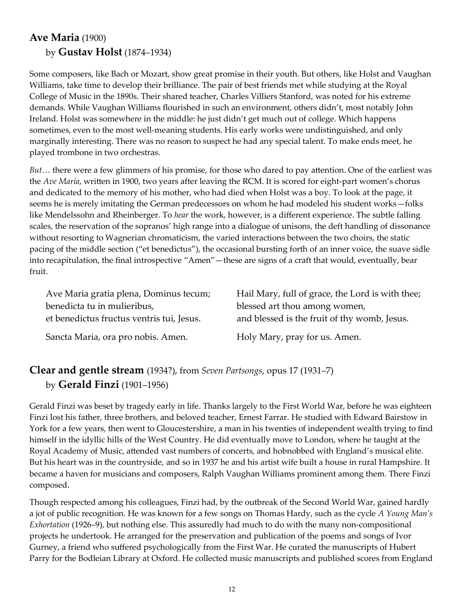# **Ave Maria** (1900) by **Gustav Holst** (1874–1934)

Some composers, like Bach or Mozart, show great promise in their youth. But others, like Holst and Vaughan Williams, take time to develop their brilliance. The pair of best friends met while studying at the Royal College of Music in the 1890s. Their shared teacher, Charles Villiers Stanford, was noted for his extreme demands. While Vaughan Williams flourished in such an environment, others didn't, most notably John Ireland. Holst was somewhere in the middle: he just didn't get much out of college. Which happens sometimes, even to the most well-meaning students. His early works were undistinguished, and only marginally interesting. There was no reason to suspect he had any special talent. To make ends meet, he played trombone in two orchestras.

*But*… there were a few glimmers of his promise, for those who dared to pay attention. One of the earliest was the *Ave Maria*, written in 1900, two years after leaving the RCM. It is scored for eight-part women's chorus and dedicated to the memory of his mother, who had died when Holst was a boy. To look at the page, it seems he is merely imitating the German predecessors on whom he had modeled his student works—folks like Mendelssohn and Rheinberger. To *hear* the work, however, is a different experience. The subtle falling scales, the reservation of the sopranos' high range into a dialogue of unisons, the deft handling of dissonance without resorting to Wagnerian chromaticism, the varied interactions between the two choirs, the static pacing of the middle section ("et benedictus"), the occasional bursting forth of an inner voice, the suave sidle into recapitulation, the final introspective "Amen"—these are signs of a craft that would, eventually, bear fruit.

benedicta tu in mulieribus, blessed art thou among women,

Sancta Maria, ora pro nobis. Amen. Holy Mary, pray for us. Amen.

Ave Maria gratia plena, Dominus tecum; Hail Mary, full of grace, the Lord is with thee; et benedictus fructus ventris tui, Jesus. and blessed is the fruit of thy womb, Jesus.

# **Clear and gentle stream** (1934?), from *Seven Partsongs*, opus 17 (1931–7) by **Gerald Finzi** (1901–1956)

Gerald Finzi was beset by tragedy early in life. Thanks largely to the First World War, before he was eighteen Finzi lost his father, three brothers, and beloved teacher, Ernest Farrar. He studied with Edward Bairstow in York for a few years, then went to Gloucestershire, a man in his twenties of independent wealth trying to find himself in the idyllic hills of the West Country. He did eventually move to London, where he taught at the Royal Academy of Music, attended vast numbers of concerts, and hobnobbed with England's musical elite. But his heart was in the countryside, and so in 1937 he and his artist wife built a house in rural Hampshire. It became a haven for musicians and composers, Ralph Vaughan Williams prominent among them. There Finzi composed.

Though respected among his colleagues, Finzi had, by the outbreak of the Second World War, gained hardly a jot of public recognition. He was known for a few songs on Thomas Hardy, such as the cycle *A Young Man's Exhortation* (1926–9), but nothing else. This assuredly had much to do with the many non-compositional projects he undertook. He arranged for the preservation and publication of the poems and songs of Ivor Gurney, a friend who suffered psychologically from the First War. He curated the manuscripts of Hubert Parry for the Bodleian Library at Oxford. He collected music manuscripts and published scores from England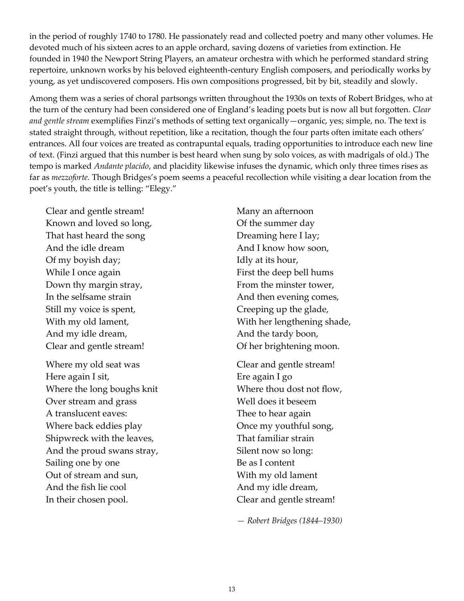in the period of roughly 1740 to 1780. He passionately read and collected poetry and many other volumes. He devoted much of his sixteen acres to an apple orchard, saving dozens of varieties from extinction. He founded in 1940 the Newport String Players, an amateur orchestra with which he performed standard string repertoire, unknown works by his beloved eighteenth-century English composers, and periodically works by young, as yet undiscovered composers. His own compositions progressed, bit by bit, steadily and slowly.

Among them was a series of choral partsongs written throughout the 1930s on texts of Robert Bridges, who at the turn of the century had been considered one of England's leading poets but is now all but forgotten. *Clear and gentle stream* exemplifies Finzi's methods of setting text organically—organic, yes; simple, no. The text is stated straight through, without repetition, like a recitation, though the four parts often imitate each others' entrances. All four voices are treated as contrapuntal equals, trading opportunities to introduce each new line of text. (Finzi argued that this number is best heard when sung by solo voices, as with madrigals of old.) The tempo is marked *Andante placido*, and placidity likewise infuses the dynamic, which only three times rises as far as *mezzoforte.* Though Bridges's poem seems a peaceful recollection while visiting a dear location from the poet's youth, the title is telling: "Elegy."

Clear and gentle stream! Many an afternoon Known and loved so long, Shape Company Company Company Company Company Company Company Company Company Company Company Company Company Company Company Company Company Company Company Company Company Company Company Company That hast heard the song Dreaming here I lay; And the idle dream And I know how soon, Of my boyish day; Idly at its hour, While I once again First the deep bell hums Down thy margin stray, From the minster tower, In the selfsame strain And then evening comes, Still my voice is spent, Creeping up the glade, And my idle dream, And the tardy boon, Clear and gentle stream! Of her brightening moon.

Where my old seat was **Clear and gentle stream!** Here again I sit, Ere again I go Where the long boughs knit Where thou dost not flow, Over stream and grass Well does it beseem A translucent eaves: Thee to hear again Where back eddies play Once my youthful song, Shipwreck with the leaves, That familiar strain And the proud swans stray, Silent now so long: Sailing one by one Be as I content Out of stream and sun, With my old lament And the fish lie cool and head and my idle dream, In their chosen pool. Clear and gentle stream!

With my old lament,  $\qquad \qquad$  With her lengthening shade,

*— Robert Bridges (1844–1930)*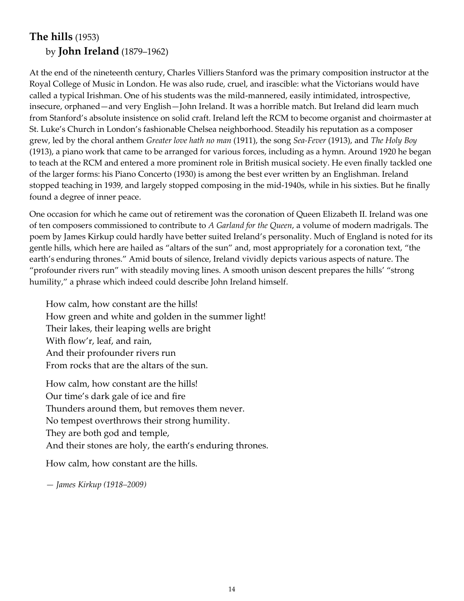# **The hills** (1953) by **John Ireland** (1879–1962)

At the end of the nineteenth century, Charles Villiers Stanford was the primary composition instructor at the Royal College of Music in London. He was also rude, cruel, and irascible: what the Victorians would have called a typical Irishman. One of his students was the mild-mannered, easily intimidated, introspective, insecure, orphaned—and very English—John Ireland. It was a horrible match. But Ireland did learn much from Stanford's absolute insistence on solid craft. Ireland left the RCM to become organist and choirmaster at St. Luke's Church in London's fashionable Chelsea neighborhood. Steadily his reputation as a composer grew, led by the choral anthem *Greater love hath no man* (1911), the song *Sea-Fever* (1913), and *The Holy Boy* (1913), a piano work that came to be arranged for various forces, including as a hymn. Around 1920 he began to teach at the RCM and entered a more prominent role in British musical society. He even finally tackled one of the larger forms: his Piano Concerto (1930) is among the best ever written by an Englishman. Ireland stopped teaching in 1939, and largely stopped composing in the mid-1940s, while in his sixties. But he finally found a degree of inner peace.

One occasion for which he came out of retirement was the coronation of Queen Elizabeth II. Ireland was one of ten composers commissioned to contribute to *A Garland for the Queen*, a volume of modern madrigals. The poem by James Kirkup could hardly have better suited Ireland's personality. Much of England is noted for its gentle hills, which here are hailed as "altars of the sun" and, most appropriately for a coronation text, "the earth's enduring thrones." Amid bouts of silence, Ireland vividly depicts various aspects of nature. The "profounder rivers run" with steadily moving lines. A smooth unison descent prepares the hills' "strong humility," a phrase which indeed could describe John Ireland himself.

How calm, how constant are the hills! How green and white and golden in the summer light! Their lakes, their leaping wells are bright With flow'r, leaf, and rain, And their profounder rivers run From rocks that are the altars of the sun.

How calm, how constant are the hills! Our time's dark gale of ice and fire Thunders around them, but removes them never. No tempest overthrows their strong humility. They are both god and temple, And their stones are holy, the earth's enduring thrones.

How calm, how constant are the hills.

*— James Kirkup (1918–2009)*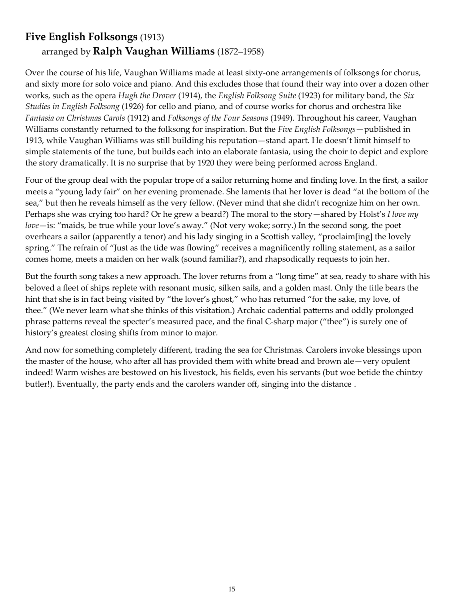# **Five English Folksongs** (1913) arranged by **Ralph Vaughan Williams** (1872–1958)

Over the course of his life, Vaughan Williams made at least sixty-one arrangements of folksongs for chorus, and sixty more for solo voice and piano. And this excludes those that found their way into over a dozen other works, such as the opera *Hugh the Drover* (1914), the *English Folksong Suite* (1923) for military band, the *Six Studies in English Folksong* (1926) for cello and piano, and of course works for chorus and orchestra like *Fantasia on Christmas Carols* (1912) and *Folksongs of the Four Seasons* (1949). Throughout his career, Vaughan Williams constantly returned to the folksong for inspiration. But the *Five English Folksongs*—published in 1913, while Vaughan Williams was still building his reputation—stand apart. He doesn't limit himself to simple statements of the tune, but builds each into an elaborate fantasia, using the choir to depict and explore the story dramatically. It is no surprise that by 1920 they were being performed across England.

Four of the group deal with the popular trope of a sailor returning home and finding love. In the first, a sailor meets a "young lady fair" on her evening promenade. She laments that her lover is dead "at the bottom of the sea," but then he reveals himself as the very fellow. (Never mind that she didn't recognize him on her own. Perhaps she was crying too hard? Or he grew a beard?) The moral to the story—shared by Holst's *I love my love*—is: "maids, be true while your love's away." (Not very woke; sorry.) In the second song, the poet overhears a sailor (apparently a tenor) and his lady singing in a Scottish valley, "proclaim[ing] the lovely spring." The refrain of "Just as the tide was flowing" receives a magnificently rolling statement, as a sailor comes home, meets a maiden on her walk (sound familiar?), and rhapsodically requests to join her.

But the fourth song takes a new approach. The lover returns from a "long time" at sea, ready to share with his beloved a fleet of ships replete with resonant music, silken sails, and a golden mast. Only the title bears the hint that she is in fact being visited by "the lover's ghost," who has returned "for the sake, my love, of thee." (We never learn what she thinks of this visitation.) Archaic cadential patterns and oddly prolonged phrase patterns reveal the specter's measured pace, and the final C-sharp major ("thee") is surely one of history's greatest closing shifts from minor to major.

And now for something completely different, trading the sea for Christmas. Carolers invoke blessings upon the master of the house, who after all has provided them with white bread and brown ale—very opulent indeed! Warm wishes are bestowed on his livestock, his fields, even his servants (but woe betide the chintzy butler!). Eventually, the party ends and the carolers wander off, singing into the distance .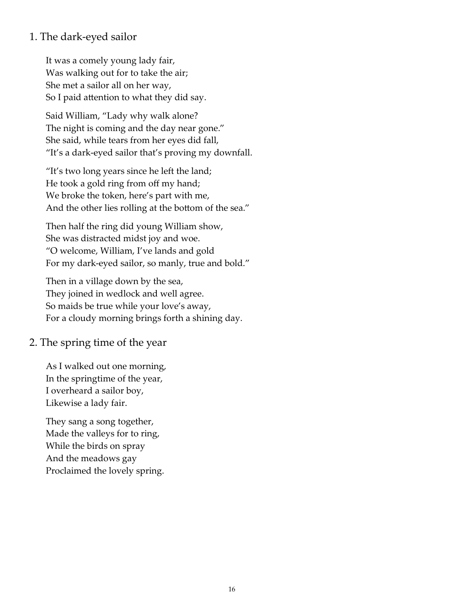#### 1. The dark-eyed sailor

It was a comely young lady fair, Was walking out for to take the air; She met a sailor all on her way, So I paid attention to what they did say.

Said William, "Lady why walk alone? The night is coming and the day near gone." She said, while tears from her eyes did fall, "It's a dark-eyed sailor that's proving my downfall.

"It's two long years since he left the land; He took a gold ring from off my hand; We broke the token, here's part with me, And the other lies rolling at the bottom of the sea."

Then half the ring did young William show, She was distracted midst joy and woe. "O welcome, William, I've lands and gold For my dark-eyed sailor, so manly, true and bold."

Then in a village down by the sea, They joined in wedlock and well agree. So maids be true while your love's away, For a cloudy morning brings forth a shining day.

#### 2. The spring time of the year

As I walked out one morning, In the springtime of the year, I overheard a sailor boy, Likewise a lady fair.

They sang a song together, Made the valleys for to ring, While the birds on spray And the meadows gay Proclaimed the lovely spring.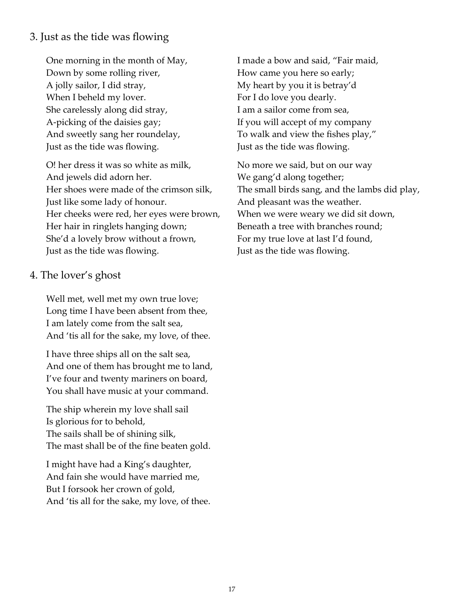## 3. Just as the tide was flowing

One morning in the month of May, I made a bow and said, "Fair maid, Down by some rolling river, How came you here so early; A jolly sailor, I did stray, My heart by you it is betray'd When I beheld my lover. The same of Ford do love you dearly. She carelessly along did stray, I am a sailor come from sea, A-picking of the daisies gay; If you will accept of my company And sweetly sang her roundelay, To walk and view the fishes play," Just as the tide was flowing. Just as the tide was flowing.

O! her dress it was so white as milk, No more we said, but on our way And jewels did adorn her. We gang'd along together; Just like some lady of honour. And pleasant was the weather. Her cheeks were red, her eyes were brown, When we were weary we did sit down, Her hair in ringlets hanging down; Beneath a tree with branches round; She'd a lovely brow without a frown, For my true love at last I'd found, Just as the tide was flowing. Just as the tide was flowing.

#### 4. The lover's ghost

Well met, well met my own true love; Long time I have been absent from thee, I am lately come from the salt sea, And 'tis all for the sake, my love, of thee.

I have three ships all on the salt sea, And one of them has brought me to land, I've four and twenty mariners on board, You shall have music at your command.

The ship wherein my love shall sail Is glorious for to behold, The sails shall be of shining silk, The mast shall be of the fine beaten gold.

I might have had a King's daughter, And fain she would have married me, But I forsook her crown of gold, And 'tis all for the sake, my love, of thee.

Her shoes were made of the crimson silk, The small birds sang, and the lambs did play,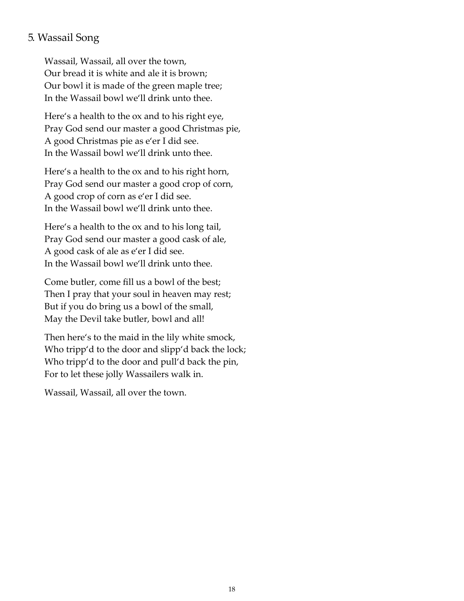#### 5. Wassail Song

Wassail, Wassail, all over the town, Our bread it is white and ale it is brown; Our bowl it is made of the green maple tree; In the Wassail bowl we'll drink unto thee.

Here's a health to the ox and to his right eye, Pray God send our master a good Christmas pie, A good Christmas pie as e'er I did see. In the Wassail bowl we'll drink unto thee.

Here's a health to the ox and to his right horn, Pray God send our master a good crop of corn, A good crop of corn as e'er I did see. In the Wassail bowl we'll drink unto thee.

Here's a health to the ox and to his long tail, Pray God send our master a good cask of ale, A good cask of ale as e'er I did see. In the Wassail bowl we'll drink unto thee.

Come butler, come fill us a bowl of the best; Then I pray that your soul in heaven may rest; But if you do bring us a bowl of the small, May the Devil take butler, bowl and all!

Then here's to the maid in the lily white smock, Who tripp'd to the door and slipp'd back the lock; Who tripp'd to the door and pull'd back the pin, For to let these jolly Wassailers walk in.

Wassail, Wassail, all over the town.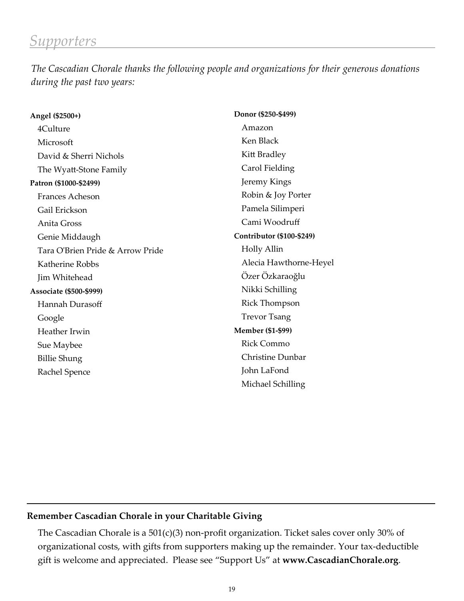*The Cascadian Chorale thanks the following people and organizations for their generous donations during the past two years:*

| Angel (\$2500+)                  | Donor (\$250-\$499)       |
|----------------------------------|---------------------------|
| 4Culture                         | Amazon                    |
| Microsoft                        | Ken Black                 |
| David & Sherri Nichols           | Kitt Bradley              |
| The Wyatt-Stone Family           | Carol Fielding            |
| Patron (\$1000-\$2499)           | Jeremy Kings              |
| Frances Acheson                  | Robin & Joy Porter        |
| Gail Erickson                    | Pamela Silimperi          |
| Anita Gross                      | Cami Woodruff             |
| Genie Middaugh                   | Contributor (\$100-\$249) |
| Tara O'Brien Pride & Arrow Pride | Holly Allin               |
| Katherine Robbs                  | Alecia Hawthorne-Heyel    |
| Jim Whitehead                    | Özer Özkaraoğlu           |
| Associate (\$500-\$999)          | Nikki Schilling           |
| Hannah Durasoff                  | Rick Thompson             |
| Google                           | <b>Trevor Tsang</b>       |
| Heather Irwin                    | <b>Member (\$1-\$99)</b>  |
| Sue Maybee                       | <b>Rick Commo</b>         |
| <b>Billie Shung</b>              | <b>Christine Dunbar</b>   |
| Rachel Spence                    | John LaFond               |
|                                  | Michael Schilling         |

#### **Remember Cascadian Chorale in your Charitable Giving**

The Cascadian Chorale is a 501(c)(3) non-profit organization. Ticket sales cover only 30% of organizational costs, with gifts from supporters making up the remainder. Your tax-deductible gift is welcome and appreciated. Please see "Support Us" at **www.CascadianChorale.org**.